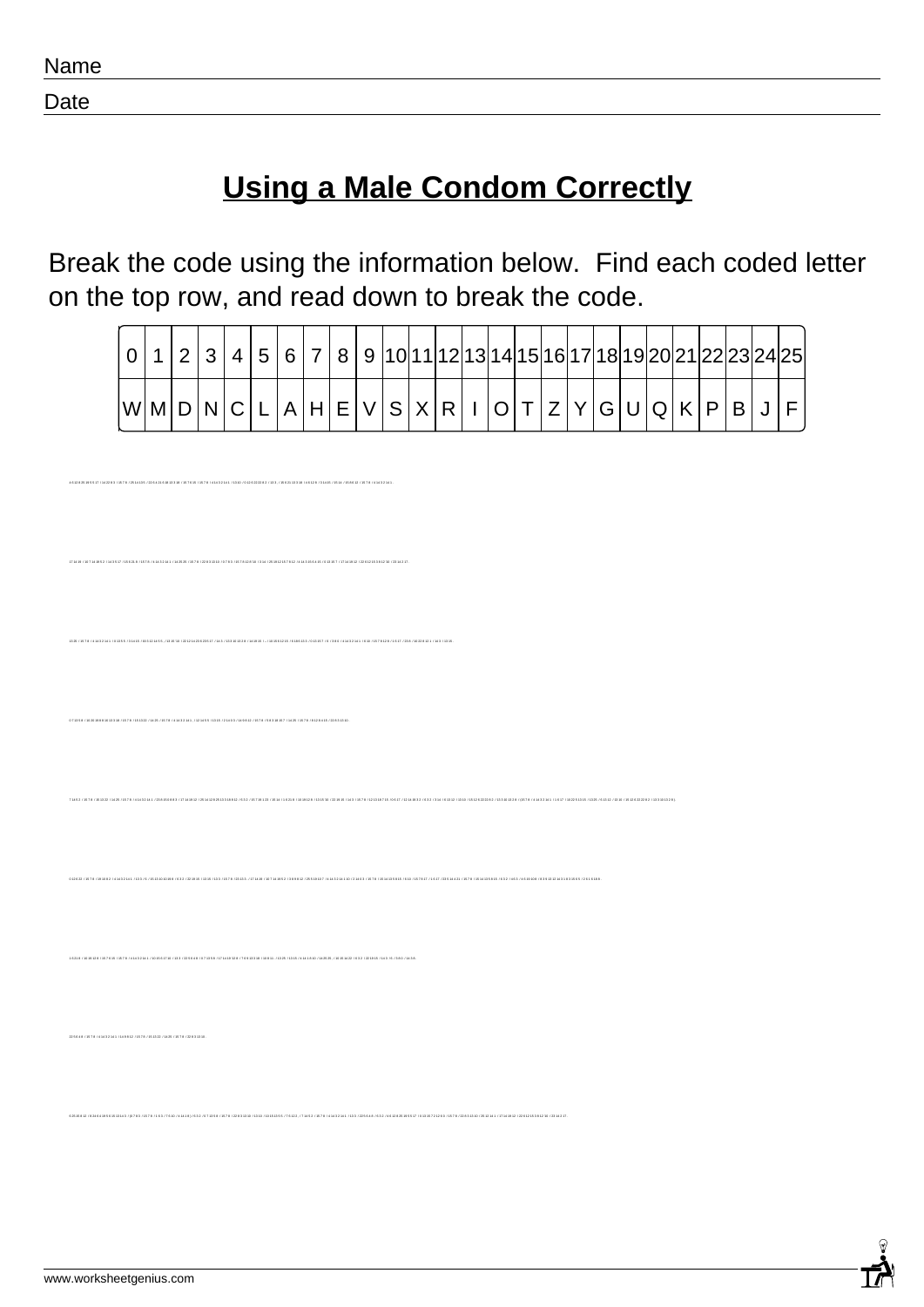|--|

Date

## **Using a Male Condom Correctly**

Break the code using the information below. Find each coded letter on the top row, and read down to break the code.

|                           | 1   2   3   4   5   6   7   8   9  10 11 12 13 14 15 16 17 18 19 20 21 22 23 24 25 |  |  |  |  |  |  |  |  |  |  |  |  |
|---------------------------|------------------------------------------------------------------------------------|--|--|--|--|--|--|--|--|--|--|--|--|
| WMDNCLAHEVSXRIOTZYGUQKPBJ |                                                                                    |  |  |  |  |  |  |  |  |  |  |  |  |

62515812 /8246419561513143 /8783 /1578 /163 /7610 /41418 /632 /071358 /1578 /22831310 /1310 /10151355 /76122 /71452 /1578 /41432 141 /133 /225648 /632 /4612825 1955 17 /013 1572 1260 /1578 /22831310 /2512 141 /17 1419 12 /2

1 6 21 8 / 10 19 12 8 / 15 7 6 15 / 15 7 8 / 4 14 3 2 14 1 / 10 15 6 17 10 / 13 3 / 22 5 6 4 8 / 0 7 13 5 8 / 17 14 19 '12 8 / 7 6 9 13 3 18 / 10 8 11 . / 13 25 / 13 15 / 4 14 1 8 10 / 14 25 25 , / 10 15 14 22 / 6 3 2 / 22 19 15 / 14 3 / 6 / 3 8 0 / 14 3 8 .

.<br>HADDES HATE IDAAHSA IDDEADLEILISSE HATEK HATE JAHSSAA HSIG JOHDOODES HSS HAADI ISSE JAHOO JEHAK HAAL HAGEID HATE JA

.<br>1952-149517-155218-1578-14549244-142525-1578-122894940-19789-1578-2840-154-12519-2-289-2840-55445-1619557-1754-942-1226125598976-1

0 7 13 5 8 / 10 20 19 8 8 16 13 3 18 / 15 7 8 / 15 13 22 / 14 25 / 15 7 8 / 4 14 3 2 14 1 , / 12 14 5 5 / 13 15 / 2 14 0 3 / 14 9 8 12 / 15 7 8 / 5 8 3 18 15 7 / 14 25 / 15 7 8 / 8 12 8 4 15 / 22 8 3 13 10 .

.<br>28 / 14 19 15 / -/ 10 15 6 12 15 / 6 18 6 13 3 / 0 13 15 7 / 6 / 38 0 / 4 14 3 2 14 1 / 6 10 / 15 7 1

7 14 5 2 / 15 7 8 / 15 13 22 / 14 25 / 15 7 8 / 4 14 3 2 14 1 / 23 8 15 0 8 8 3 / 17 14 19 12 / 25 14 12 8 25 13 3 18 8 12 / 6 3 2 / 15 7 19 1 23 / 15 14 / 1 6 21 8 / 10 19 12 8 / 13 15 '10 / 22 19 15 / 14 3 / 15 7 8 / 12 13 18 7 15 / 0 6 17 / 12 14 19 3 2 / 6 3 2 / 3 14 / 6 13 12 / 13 10 / 15 12 6 22 22 8 2 / 13 3 10 13 2 8 / (15 7 8 / 4 14 3 2 14 1 / 1 6 17 / 10 22 5 13 15 / 13 25 / 6 13 12 / 13 10 / 15 12 6 22 22 8 2 / 13 3 10 13 2 8 ).

0 12 6 22 / 15 7 8 / 19 10 8 2 / 4 14 3 2 14 1 / 13 3 / 6 / 15 13 10 10 19 8 / 6 3 2 / 22 19 15 / 13 15 / 13 3 / 15 7 8 / 23 13 3 . / 17 14 19 / 10 7 14 19 5 2 / 3 8 9 8 12 / 25 5 19 10 7 / 4 14 3 2 14 1 10 / 2 14 0 3 / 15 7 8 / 15 14 13 5 8 15 / 6 10 / 15 7 8 17 / 1 6 17 / 23 5 14 4 21 / 15 7 8 / 15 14 13 5 8 15 / 6 3 2 / 4 6 3 / 4 6 19 10 8 / 8 3 9 13 12 14 3 1 8 3 15 6 5 / 2 6 1 6 18 8 .

22 5 6 4 8 / 15 7 8 / 4 14 3 2 14 1 / 14 9 8 12 / 15 7 8 / 15 13 22 / 14 25 / 15 7 8 / 22 8 3 13 10 .